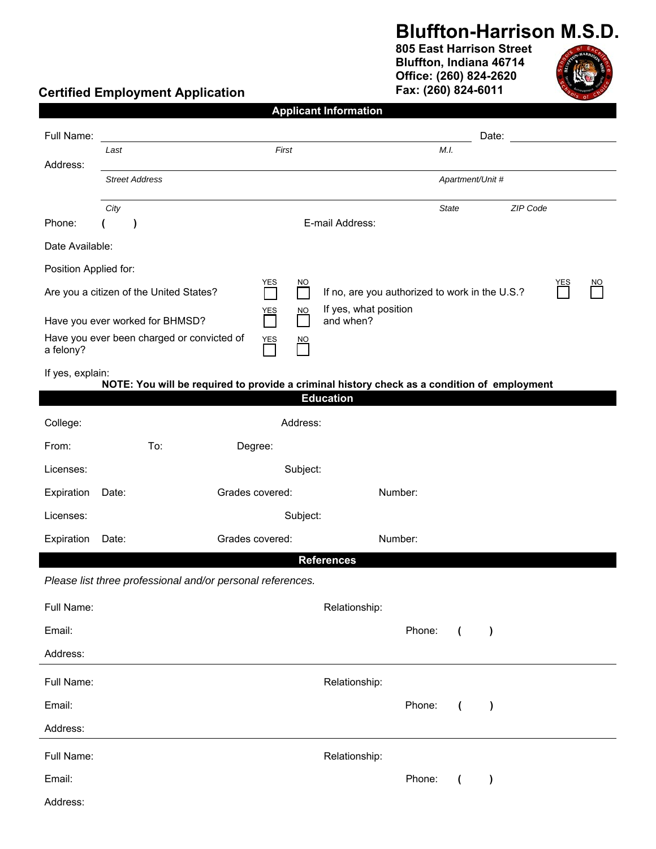### **Bluffton-Harrison M.S.D.**

**805 East Harrison Street Bluffton, Indiana 46714 Office: (260) 824-2620 Fax: (260) 824-6011** 



### **Certified Employment Application**

|                                                         |                       |                                                            |                 |                                 |                           | <b>Applicant Information</b>                                                                |         |                |           |          |                 |  |
|---------------------------------------------------------|-----------------------|------------------------------------------------------------|-----------------|---------------------------------|---------------------------|---------------------------------------------------------------------------------------------|---------|----------------|-----------|----------|-----------------|--|
| Full Name:                                              |                       |                                                            |                 |                                 |                           |                                                                                             |         |                | Date:     |          |                 |  |
| Address:                                                | First<br>Last         |                                                            |                 |                                 |                           | M.I.                                                                                        |         |                |           |          |                 |  |
|                                                         | <b>Street Address</b> |                                                            |                 |                                 |                           | Apartment/Unit #                                                                            |         |                |           |          |                 |  |
|                                                         | City                  |                                                            |                 |                                 |                           |                                                                                             |         | <b>State</b>   |           | ZIP Code |                 |  |
| Phone:                                                  | J                     |                                                            |                 |                                 |                           | E-mail Address:                                                                             |         |                |           |          |                 |  |
| Date Available:                                         |                       |                                                            |                 |                                 |                           |                                                                                             |         |                |           |          |                 |  |
| Position Applied for:                                   |                       |                                                            |                 |                                 |                           |                                                                                             |         |                |           |          |                 |  |
| Are you a citizen of the United States?                 |                       |                                                            |                 | YES                             | NO                        | YES<br>If no, are you authorized to work in the U.S.?                                       |         |                |           |          | $\overline{NO}$ |  |
| Have you ever worked for BHMSD?                         |                       |                                                            |                 | YES<br>$\overline{\phantom{0}}$ | $\underline{\mathsf{NO}}$ | If yes, what position<br>and when?                                                          |         |                |           |          |                 |  |
| Have you ever been charged or convicted of<br>a felony? |                       |                                                            |                 | YES                             | $\overline{NO}$           |                                                                                             |         |                |           |          |                 |  |
| If yes, explain:                                        |                       |                                                            |                 |                                 |                           | NOTE: You will be required to provide a criminal history check as a condition of employment |         |                |           |          |                 |  |
|                                                         |                       |                                                            |                 |                                 |                           | <b>Education</b>                                                                            |         |                |           |          |                 |  |
| College:                                                |                       |                                                            |                 |                                 | Address:                  |                                                                                             |         |                |           |          |                 |  |
| From:                                                   |                       | To:                                                        | Degree:         |                                 |                           |                                                                                             |         |                |           |          |                 |  |
| Licenses:                                               |                       |                                                            |                 |                                 | Subject:                  |                                                                                             |         |                |           |          |                 |  |
| Expiration                                              | Date:                 |                                                            | Grades covered: |                                 |                           |                                                                                             | Number: |                |           |          |                 |  |
| Licenses:                                               | Subject:              |                                                            |                 |                                 |                           |                                                                                             |         |                |           |          |                 |  |
| Expiration                                              | Date:                 |                                                            | Grades covered: |                                 |                           |                                                                                             | Number: |                |           |          |                 |  |
|                                                         |                       |                                                            |                 |                                 |                           | <b>References</b>                                                                           |         |                |           |          |                 |  |
|                                                         |                       | Please list three professional and/or personal references. |                 |                                 |                           |                                                                                             |         |                |           |          |                 |  |
| Full Name:                                              |                       |                                                            |                 |                                 |                           | Relationship:                                                                               |         |                |           |          |                 |  |
| Email:                                                  |                       |                                                            |                 |                                 |                           |                                                                                             | Phone:  | $\overline{ }$ | $\lambda$ |          |                 |  |
| Address:                                                |                       |                                                            |                 |                                 |                           |                                                                                             |         |                |           |          |                 |  |
| Full Name:                                              |                       |                                                            |                 |                                 |                           | Relationship:                                                                               |         |                |           |          |                 |  |
| Email:                                                  |                       |                                                            |                 |                                 |                           |                                                                                             | Phone:  | $\overline{ }$ | $\lambda$ |          |                 |  |
| Address:                                                |                       |                                                            |                 |                                 |                           |                                                                                             |         |                |           |          |                 |  |
| Full Name:                                              |                       |                                                            |                 |                                 |                           | Relationship:                                                                               |         |                |           |          |                 |  |
| Email:                                                  |                       |                                                            |                 |                                 |                           |                                                                                             | Phone:  | $\overline{ }$ | $\lambda$ |          |                 |  |
| Address:                                                |                       |                                                            |                 |                                 |                           |                                                                                             |         |                |           |          |                 |  |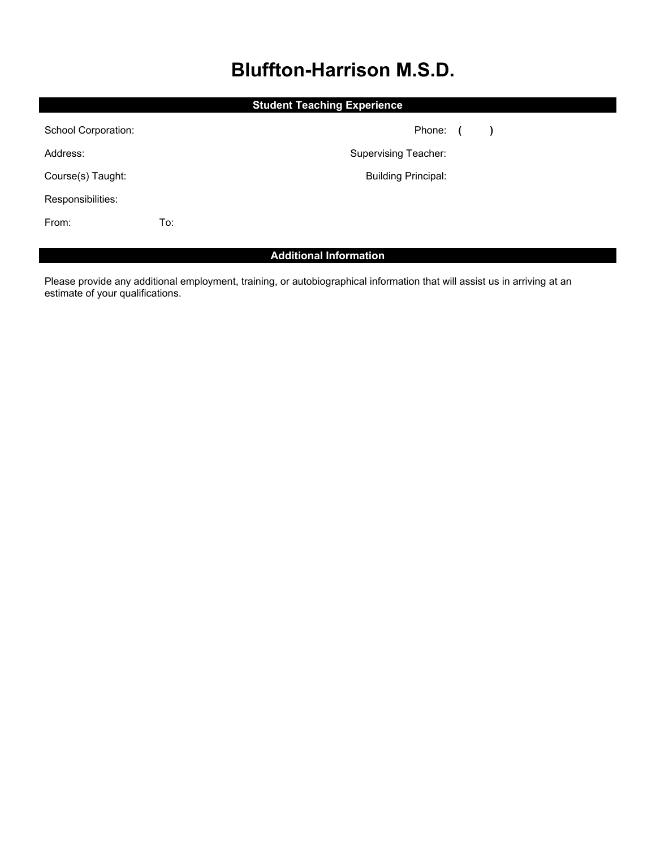# **Bluffton-Harrison M.S.D.**

|                     |     | <b>Student Teaching Experience</b> |               |  |
|---------------------|-----|------------------------------------|---------------|--|
| School Corporation: |     | Phone: (                           | $\rightarrow$ |  |
| Address:            |     | <b>Supervising Teacher:</b>        |               |  |
| Course(s) Taught:   |     | <b>Building Principal:</b>         |               |  |
| Responsibilities:   |     |                                    |               |  |
| From:               | To: |                                    |               |  |
|                     |     |                                    |               |  |

### **Additional Information**

Please provide any additional employment, training, or autobiographical information that will assist us in arriving at an estimate of your qualifications.